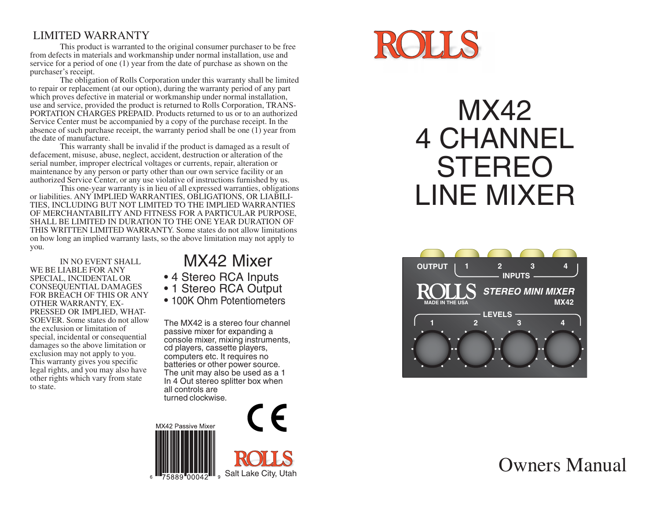## LIMITED WARRANTY

This product is warranted to the original consumer purchaser to be free from defects in materials and workmanship under normal installation, use and service for a period of one (1) year from the date of purchase as shown on the purchaser's receipt.

The obligation of Rolls Corporation under this warranty shall be limited to repair or replacement (at our option), during the warranty period of any part which proves defective in material or workmanship under normal installation, use and service, provided the product is returned to Rolls Corporation, TRANS-PORTATION CHARGES PREPAID. Products returned to us or to an authorized Service Center must be accompanied by a copy of the purchase receipt. In the absence of such purchase receipt, the warranty period shall be one  $(1)$  year from the date of manufacture.

This warranty shall be invalid if the product is damaged as a result of defacement, misuse, abuse, neglect, accident, destruction or alteration of the serial number, improper electrical voltages or currents, repair, alteration or maintenance by any person or party other than our own service facility or an authorized Service Center, or any use violative of instructions furnished by us.

This one-year warranty is in lieu of all expressed warranties, obligations or liabilities. ANY IMPLIED WARRANTIES, OBLIGATIONS, OR LIABILI-TIES, INCLUDING BUT NOT LIMITED TO THE IMPLIED WARRANTIES OF MERCHANTABILITY AND FITNESS FOR A PARTICULAR PURPOSE, SHALL BE LIMITED IN DURATION TO THE ONE YEAR DURATION OF THIS WRITTEN LIMITED WARRANTY. Some states do not allow limitations on how long an implied warranty lasts, so the above limitation may not apply to you.

IN NO EVENT SHALL WE BE LIABLE FOR ANY SPECIAL, INCIDENTAL OR CONSEQUENTIAL DAMAGES FOR BREACH OF THIS OR ANY OTHER WARRANTY, EX-PRESSED OR IMPLIED, WHAT-SOEVER. Some states do not allow the exclusion or limitation of special, incidental or consequential damages so the above limitation or exclusion may not apply to you. This warranty gives you specific legal rights, and you may also have other rights which vary from state to state.

# MX42 Mixer

- 4 Stereo RCA Inputs
- 1 Stereo RCA Output
- 100K Ohm Potentiometers

The MX42 is a stereo four channel passive mixer for expanding a console mixer, mixing instruments, cd players, cassette players, computers etc. It requires no batteries or other power source. The unit may also be used as a 1 In 4 Out stereo splitter box when all controls are turned clockwise.





# MX42 4 CHANNEL STEREO LINE MIXER



## Owners Manual